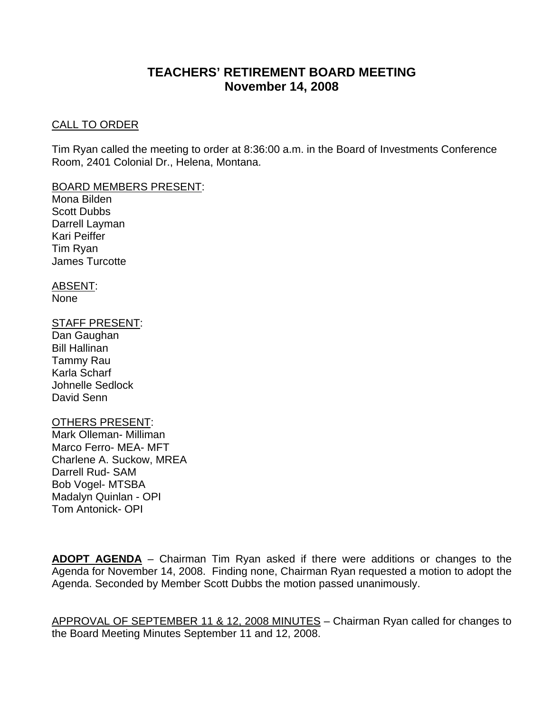# **TEACHERS' RETIREMENT BOARD MEETING November 14, 2008**

#### CALL TO ORDER

Tim Ryan called the meeting to order at 8:36:00 a.m. in the Board of Investments Conference Room, 2401 Colonial Dr., Helena, Montana.

BOARD MEMBERS PRESENT:

Mona Bilden Scott Dubbs Darrell Layman Kari Peiffer Tim Ryan James Turcotte

ABSENT: None

## STAFF PRESENT:

Dan Gaughan Bill Hallinan Tammy Rau Karla Scharf Johnelle Sedlock David Senn

#### OTHERS PRESENT:

Mark Olleman- Milliman Marco Ferro- MEA- MFT Charlene A. Suckow, MREA Darrell Rud- SAM Bob Vogel- MTSBA Madalyn Quinlan - OPI Tom Antonick- OPI

**ADOPT AGENDA** – Chairman Tim Ryan asked if there were additions or changes to the Agenda for November 14, 2008. Finding none, Chairman Ryan requested a motion to adopt the Agenda. Seconded by Member Scott Dubbs the motion passed unanimously.

APPROVAL OF SEPTEMBER 11 & 12, 2008 MINUTES – Chairman Ryan called for changes to the Board Meeting Minutes September 11 and 12, 2008.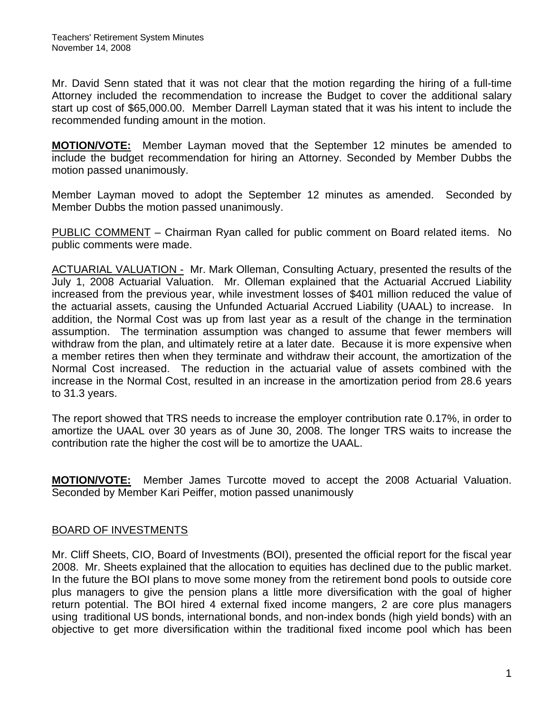Mr. David Senn stated that it was not clear that the motion regarding the hiring of a full-time Attorney included the recommendation to increase the Budget to cover the additional salary start up cost of \$65,000.00. Member Darrell Layman stated that it was his intent to include the recommended funding amount in the motion.

**MOTION/VOTE:** Member Layman moved that the September 12 minutes be amended to include the budget recommendation for hiring an Attorney. Seconded by Member Dubbs the motion passed unanimously.

Member Layman moved to adopt the September 12 minutes as amended. Seconded by Member Dubbs the motion passed unanimously.

PUBLIC COMMENT – Chairman Ryan called for public comment on Board related items. No public comments were made.

ACTUARIAL VALUATION - Mr. Mark Olleman, Consulting Actuary, presented the results of the July 1, 2008 Actuarial Valuation. Mr. Olleman explained that the Actuarial Accrued Liability increased from the previous year, while investment losses of \$401 million reduced the value of the actuarial assets, causing the Unfunded Actuarial Accrued Liability (UAAL) to increase. In addition, the Normal Cost was up from last year as a result of the change in the termination assumption. The termination assumption was changed to assume that fewer members will withdraw from the plan, and ultimately retire at a later date. Because it is more expensive when a member retires then when they terminate and withdraw their account, the amortization of the Normal Cost increased. The reduction in the actuarial value of assets combined with the increase in the Normal Cost, resulted in an increase in the amortization period from 28.6 years to 31.3 years.

The report showed that TRS needs to increase the employer contribution rate 0.17%, in order to amortize the UAAL over 30 years as of June 30, 2008. The longer TRS waits to increase the contribution rate the higher the cost will be to amortize the UAAL.

**MOTION/VOTE:** Member James Turcotte moved to accept the 2008 Actuarial Valuation. Seconded by Member Kari Peiffer, motion passed unanimously

## BOARD OF INVESTMENTS

Mr. Cliff Sheets, CIO, Board of Investments (BOI), presented the official report for the fiscal year 2008. Mr. Sheets explained that the allocation to equities has declined due to the public market. In the future the BOI plans to move some money from the retirement bond pools to outside core plus managers to give the pension plans a little more diversification with the goal of higher return potential. The BOI hired 4 external fixed income mangers, 2 are core plus managers using traditional US bonds, international bonds, and non-index bonds (high yield bonds) with an objective to get more diversification within the traditional fixed income pool which has been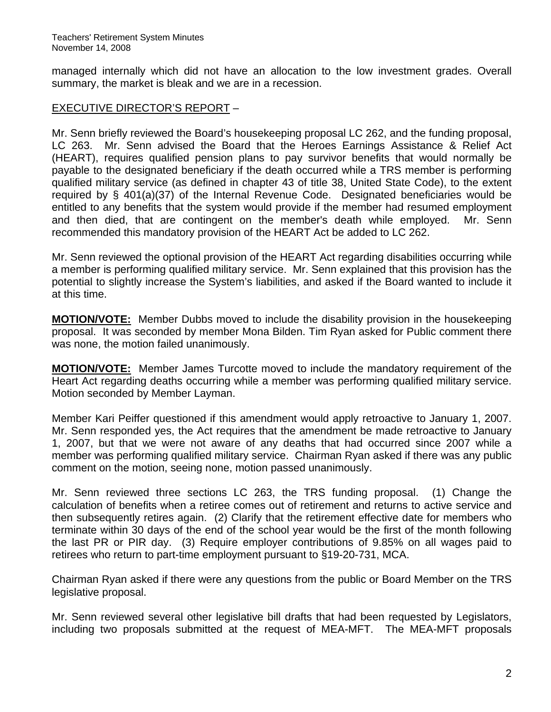managed internally which did not have an allocation to the low investment grades. Overall summary, the market is bleak and we are in a recession.

## EXECUTIVE DIRECTOR'S REPORT –

Mr. Senn briefly reviewed the Board's housekeeping proposal LC 262, and the funding proposal, LC 263. Mr. Senn advised the Board that the Heroes Earnings Assistance & Relief Act (HEART), requires qualified pension plans to pay survivor benefits that would normally be payable to the designated beneficiary if the death occurred while a TRS member is performing qualified military service (as defined in chapter 43 of title 38, United State Code), to the extent required by § 401(a)(37) of the Internal Revenue Code. Designated beneficiaries would be entitled to any benefits that the system would provide if the member had resumed employment and then died, that are contingent on the member's death while employed. Mr. Senn recommended this mandatory provision of the HEART Act be added to LC 262.

Mr. Senn reviewed the optional provision of the HEART Act regarding disabilities occurring while a member is performing qualified military service. Mr. Senn explained that this provision has the potential to slightly increase the System's liabilities, and asked if the Board wanted to include it at this time.

**MOTION/VOTE:** Member Dubbs moved to include the disability provision in the housekeeping proposal. It was seconded by member Mona Bilden. Tim Ryan asked for Public comment there was none, the motion failed unanimously.

**MOTION/VOTE:** Member James Turcotte moved to include the mandatory requirement of the Heart Act regarding deaths occurring while a member was performing qualified military service. Motion seconded by Member Layman.

Member Kari Peiffer questioned if this amendment would apply retroactive to January 1, 2007. Mr. Senn responded yes, the Act requires that the amendment be made retroactive to January 1, 2007, but that we were not aware of any deaths that had occurred since 2007 while a member was performing qualified military service. Chairman Ryan asked if there was any public comment on the motion, seeing none, motion passed unanimously.

Mr. Senn reviewed three sections LC 263, the TRS funding proposal. (1) Change the calculation of benefits when a retiree comes out of retirement and returns to active service and then subsequently retires again. (2) Clarify that the retirement effective date for members who terminate within 30 days of the end of the school year would be the first of the month following the last PR or PIR day. (3) Require employer contributions of 9.85% on all wages paid to retirees who return to part-time employment pursuant to §19-20-731, MCA.

Chairman Ryan asked if there were any questions from the public or Board Member on the TRS legislative proposal.

Mr. Senn reviewed several other legislative bill drafts that had been requested by Legislators, including two proposals submitted at the request of MEA-MFT. The MEA-MFT proposals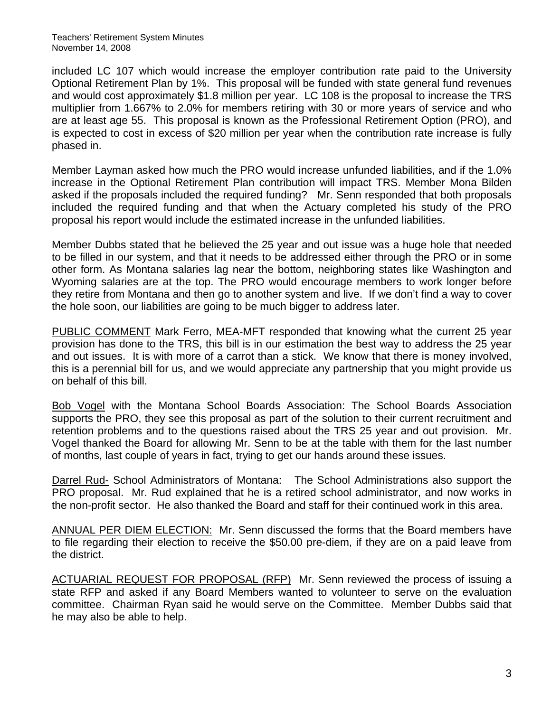Teachers' Retirement System Minutes November 14, 2008

included LC 107 which would increase the employer contribution rate paid to the University Optional Retirement Plan by 1%. This proposal will be funded with state general fund revenues and would cost approximately \$1.8 million per year. LC 108 is the proposal to increase the TRS multiplier from 1.667% to 2.0% for members retiring with 30 or more years of service and who are at least age 55. This proposal is known as the Professional Retirement Option (PRO), and is expected to cost in excess of \$20 million per year when the contribution rate increase is fully phased in.

Member Layman asked how much the PRO would increase unfunded liabilities, and if the 1.0% increase in the Optional Retirement Plan contribution will impact TRS. Member Mona Bilden asked if the proposals included the required funding? Mr. Senn responded that both proposals included the required funding and that when the Actuary completed his study of the PRO proposal his report would include the estimated increase in the unfunded liabilities.

Member Dubbs stated that he believed the 25 year and out issue was a huge hole that needed to be filled in our system, and that it needs to be addressed either through the PRO or in some other form. As Montana salaries lag near the bottom, neighboring states like Washington and Wyoming salaries are at the top. The PRO would encourage members to work longer before they retire from Montana and then go to another system and live. If we don't find a way to cover the hole soon, our liabilities are going to be much bigger to address later.

PUBLIC COMMENT Mark Ferro, MEA-MFT responded that knowing what the current 25 year provision has done to the TRS, this bill is in our estimation the best way to address the 25 year and out issues. It is with more of a carrot than a stick. We know that there is money involved, this is a perennial bill for us, and we would appreciate any partnership that you might provide us on behalf of this bill.

Bob Vogel with the Montana School Boards Association: The School Boards Association supports the PRO, they see this proposal as part of the solution to their current recruitment and retention problems and to the questions raised about the TRS 25 year and out provision. Mr. Vogel thanked the Board for allowing Mr. Senn to be at the table with them for the last number of months, last couple of years in fact, trying to get our hands around these issues.

Darrel Rud- School Administrators of Montana: The School Administrations also support the PRO proposal. Mr. Rud explained that he is a retired school administrator, and now works in the non-profit sector. He also thanked the Board and staff for their continued work in this area.

ANNUAL PER DIEM ELECTION:Mr. Senn discussed the forms that the Board members have to file regarding their election to receive the \$50.00 pre-diem, if they are on a paid leave from the district.

ACTUARIAL REQUEST FOR PROPOSAL (RFP) Mr. Senn reviewed the process of issuing a state RFP and asked if any Board Members wanted to volunteer to serve on the evaluation committee. Chairman Ryan said he would serve on the Committee. Member Dubbs said that he may also be able to help.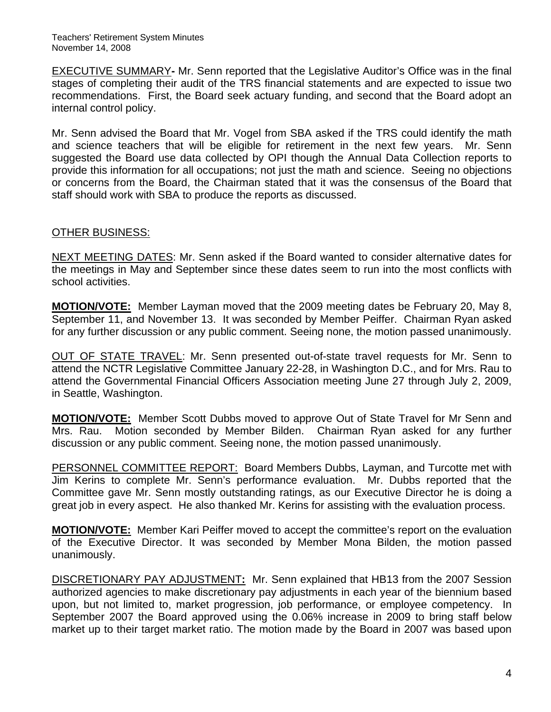EXECUTIVE SUMMARY**-** Mr. Senn reported that the Legislative Auditor's Office was in the final stages of completing their audit of the TRS financial statements and are expected to issue two recommendations. First, the Board seek actuary funding, and second that the Board adopt an internal control policy.

Mr. Senn advised the Board that Mr. Vogel from SBA asked if the TRS could identify the math and science teachers that will be eligible for retirement in the next few years. Mr. Senn suggested the Board use data collected by OPI though the Annual Data Collection reports to provide this information for all occupations; not just the math and science. Seeing no objections or concerns from the Board, the Chairman stated that it was the consensus of the Board that staff should work with SBA to produce the reports as discussed.

## OTHER BUSINESS:

NEXT MEETING DATES: Mr. Senn asked if the Board wanted to consider alternative dates for the meetings in May and September since these dates seem to run into the most conflicts with school activities.

**MOTION/VOTE:** Member Layman moved that the 2009 meeting dates be February 20, May 8, September 11, and November 13. It was seconded by Member Peiffer. Chairman Ryan asked for any further discussion or any public comment. Seeing none, the motion passed unanimously.

OUT OF STATE TRAVEL: Mr. Senn presented out-of-state travel requests for Mr. Senn to attend the NCTR Legislative Committee January 22-28, in Washington D.C., and for Mrs. Rau to attend the Governmental Financial Officers Association meeting June 27 through July 2, 2009, in Seattle, Washington.

**MOTION/VOTE:** Member Scott Dubbs moved to approve Out of State Travel for Mr Senn and Mrs. Rau. Motion seconded by Member Bilden. Chairman Ryan asked for any further discussion or any public comment. Seeing none, the motion passed unanimously.

PERSONNEL COMMITTEE REPORT: Board Members Dubbs, Layman, and Turcotte met with Jim Kerins to complete Mr. Senn's performance evaluation. Mr. Dubbs reported that the Committee gave Mr. Senn mostly outstanding ratings, as our Executive Director he is doing a great job in every aspect. He also thanked Mr. Kerins for assisting with the evaluation process.

**MOTION/VOTE:** Member Kari Peiffer moved to accept the committee's report on the evaluation of the Executive Director. It was seconded by Member Mona Bilden, the motion passed unanimously.

DISCRETIONARY PAY ADJUSTMENT**:** Mr. Senn explained that HB13 from the 2007 Session authorized agencies to make discretionary pay adjustments in each year of the biennium based upon, but not limited to, market progression, job performance, or employee competency. In September 2007 the Board approved using the 0.06% increase in 2009 to bring staff below market up to their target market ratio. The motion made by the Board in 2007 was based upon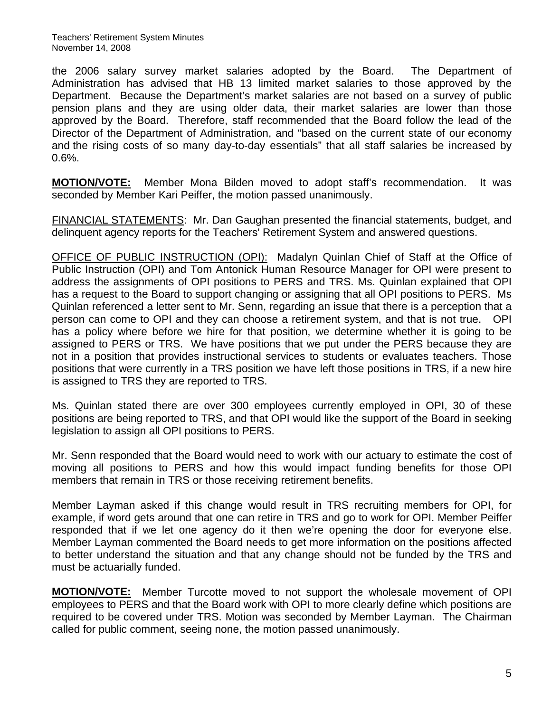the 2006 salary survey market salaries adopted by the Board. The Department of Administration has advised that HB 13 limited market salaries to those approved by the Department. Because the Department's market salaries are not based on a survey of public pension plans and they are using older data, their market salaries are lower than those approved by the Board. Therefore, staff recommended that the Board follow the lead of the Director of the Department of Administration, and "based on the current state of our economy and the rising costs of so many day-to-day essentials" that all staff salaries be increased by 0.6%.

**MOTION/VOTE:** Member Mona Bilden moved to adopt staff's recommendation. It was seconded by Member Kari Peiffer, the motion passed unanimously.

FINANCIAL STATEMENTS: Mr. Dan Gaughan presented the financial statements, budget, and delinquent agency reports for the Teachers' Retirement System and answered questions.

OFFICE OF PUBLIC INSTRUCTION (OPI): Madalyn Quinlan Chief of Staff at the Office of Public Instruction (OPI) and Tom Antonick Human Resource Manager for OPI were present to address the assignments of OPI positions to PERS and TRS. Ms. Quinlan explained that OPI has a request to the Board to support changing or assigning that all OPI positions to PERS. Ms Quinlan referenced a letter sent to Mr. Senn, regarding an issue that there is a perception that a person can come to OPI and they can choose a retirement system, and that is not true. OPI has a policy where before we hire for that position, we determine whether it is going to be assigned to PERS or TRS. We have positions that we put under the PERS because they are not in a position that provides instructional services to students or evaluates teachers. Those positions that were currently in a TRS position we have left those positions in TRS, if a new hire is assigned to TRS they are reported to TRS.

Ms. Quinlan stated there are over 300 employees currently employed in OPI, 30 of these positions are being reported to TRS, and that OPI would like the support of the Board in seeking legislation to assign all OPI positions to PERS.

Mr. Senn responded that the Board would need to work with our actuary to estimate the cost of moving all positions to PERS and how this would impact funding benefits for those OPI members that remain in TRS or those receiving retirement benefits.

Member Layman asked if this change would result in TRS recruiting members for OPI, for example, if word gets around that one can retire in TRS and go to work for OPI. Member Peiffer responded that if we let one agency do it then we're opening the door for everyone else. Member Layman commented the Board needs to get more information on the positions affected to better understand the situation and that any change should not be funded by the TRS and must be actuarially funded.

**MOTION/VOTE:** Member Turcotte moved to not support the wholesale movement of OPI employees to PERS and that the Board work with OPI to more clearly define which positions are required to be covered under TRS. Motion was seconded by Member Layman. The Chairman called for public comment, seeing none, the motion passed unanimously.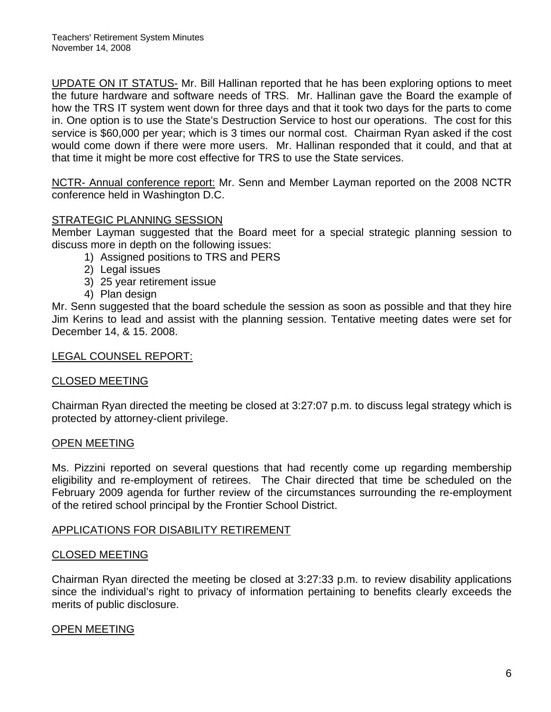UPDATE ON IT STATUS- Mr. Bill Hallinan reported that he has been exploring options to meet the future hardware and software needs of TRS. Mr. Hallinan gave the Board the example of how the TRS IT system went down for three days and that it took two days for the parts to come in. One option is to use the State's Destruction Service to host our operations. The cost for this service is \$60,000 per year; which is 3 times our normal cost. Chairman Ryan asked if the cost would come down if there were more users. Mr. Hallinan responded that it could, and that at that time it might be more cost effective for TRS to use the State services.

NCTR- Annual conference report: Mr. Senn and Member Layman reported on the 2008 NCTR conference held in Washington D.C.

### STRATEGIC PLANNING SESSION

Member Layman suggested that the Board meet for a special strategic planning session to discuss more in depth on the following issues:

- 1) Assigned positions to TRS and PERS
- 2) Legal issues
- 3) 25 year retirement issue
- 4) Plan design

Mr. Senn suggested that the board schedule the session as soon as possible and that they hire Jim Kerins to lead and assist with the planning session. Tentative meeting dates were set for December 14, & 15. 2008.

#### LEGAL COUNSEL REPORT:

#### CLOSED MEETING

Chairman Ryan directed the meeting be closed at 3:27:07 p.m. to discuss legal strategy which is protected by attorney-client privilege.

#### OPEN MEETING

Ms. Pizzini reported on several questions that had recently come up regarding membership eligibility and re-employment of retirees. The Chair directed that time be scheduled on the February 2009 agenda for further review of the circumstances surrounding the re-employment of the retired school principal by the Frontier School District.

#### APPLICATIONS FOR DISABILITY RETIREMENT

#### CLOSED MEETING

Chairman Ryan directed the meeting be closed at 3:27:33 p.m. to review disability applications since the individual's right to privacy of information pertaining to benefits clearly exceeds the merits of public disclosure.

## OPEN MEETING